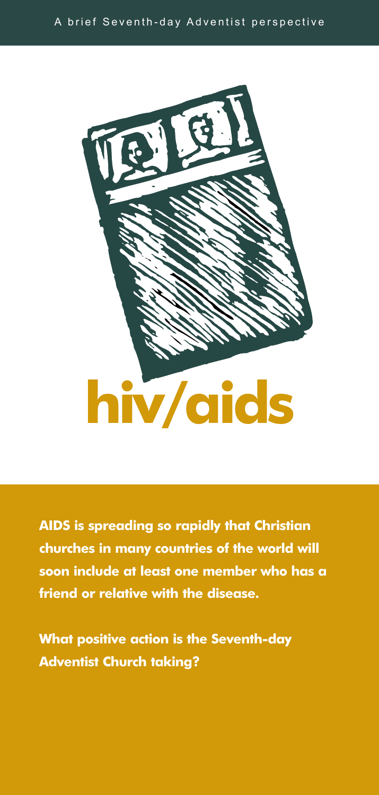



**AIDS is spreading so rapidly that Christian churches in many countries of the world will soon include at least one member who has a friend or relative with the disease.** 

**What positive action is the Seventh-day Adventist Church taking?**